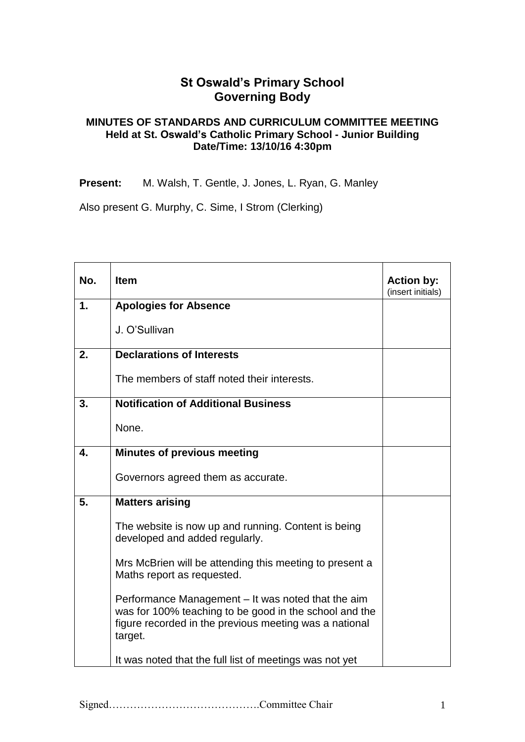## **St Oswald's Primary School Governing Body**

## **MINUTES OF STANDARDS AND CURRICULUM COMMITTEE MEETING Held at St. Oswald's Catholic Primary School - Junior Building Date/Time: 13/10/16 4:30pm**

**Present:** M. Walsh, T. Gentle, J. Jones, L. Ryan, G. Manley

Also present G. Murphy, C. Sime, I Strom (Clerking)

| No. | <b>Item</b>                                                                                                                                                                       | <b>Action by:</b><br>(insert initials) |
|-----|-----------------------------------------------------------------------------------------------------------------------------------------------------------------------------------|----------------------------------------|
| 1.  | <b>Apologies for Absence</b>                                                                                                                                                      |                                        |
|     | J. O'Sullivan                                                                                                                                                                     |                                        |
| 2.  | <b>Declarations of Interests</b>                                                                                                                                                  |                                        |
|     | The members of staff noted their interests.                                                                                                                                       |                                        |
| 3.  | <b>Notification of Additional Business</b>                                                                                                                                        |                                        |
|     | None.                                                                                                                                                                             |                                        |
| 4.  | <b>Minutes of previous meeting</b>                                                                                                                                                |                                        |
|     | Governors agreed them as accurate.                                                                                                                                                |                                        |
| 5.  | <b>Matters arising</b>                                                                                                                                                            |                                        |
|     | The website is now up and running. Content is being<br>developed and added regularly.                                                                                             |                                        |
|     | Mrs McBrien will be attending this meeting to present a<br>Maths report as requested.                                                                                             |                                        |
|     | Performance Management – It was noted that the aim<br>was for 100% teaching to be good in the school and the<br>figure recorded in the previous meeting was a national<br>target. |                                        |
|     | It was noted that the full list of meetings was not yet                                                                                                                           |                                        |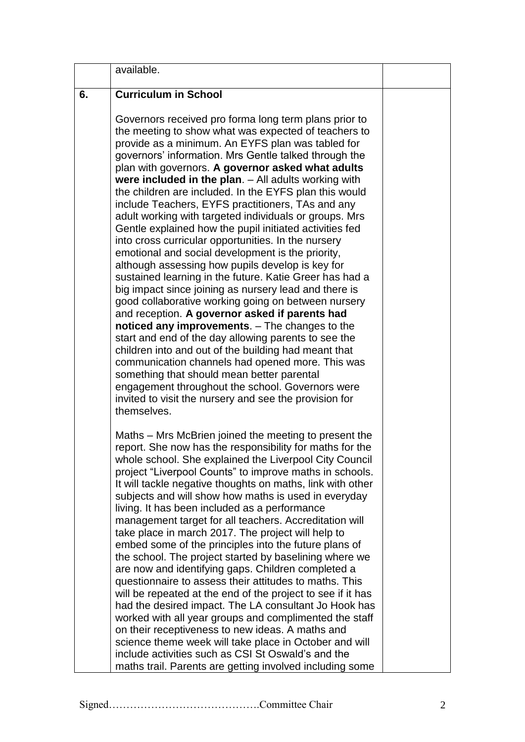|    | available.                                                                                                                                                                                                                                                                                                                                                                                                                                                                                                                                                                                                                                                                                                                                                                                                                                                                                                                                                                                                                                                                                                                                                                                                                                                                                                                                                                   |  |
|----|------------------------------------------------------------------------------------------------------------------------------------------------------------------------------------------------------------------------------------------------------------------------------------------------------------------------------------------------------------------------------------------------------------------------------------------------------------------------------------------------------------------------------------------------------------------------------------------------------------------------------------------------------------------------------------------------------------------------------------------------------------------------------------------------------------------------------------------------------------------------------------------------------------------------------------------------------------------------------------------------------------------------------------------------------------------------------------------------------------------------------------------------------------------------------------------------------------------------------------------------------------------------------------------------------------------------------------------------------------------------------|--|
| 6. | <b>Curriculum in School</b>                                                                                                                                                                                                                                                                                                                                                                                                                                                                                                                                                                                                                                                                                                                                                                                                                                                                                                                                                                                                                                                                                                                                                                                                                                                                                                                                                  |  |
|    | Governors received pro forma long term plans prior to<br>the meeting to show what was expected of teachers to<br>provide as a minimum. An EYFS plan was tabled for<br>governors' information. Mrs Gentle talked through the<br>plan with governors. A governor asked what adults<br>were included in the plan. $-$ All adults working with<br>the children are included. In the EYFS plan this would<br>include Teachers, EYFS practitioners, TAs and any<br>adult working with targeted individuals or groups. Mrs<br>Gentle explained how the pupil initiated activities fed<br>into cross curricular opportunities. In the nursery<br>emotional and social development is the priority,<br>although assessing how pupils develop is key for<br>sustained learning in the future. Katie Greer has had a<br>big impact since joining as nursery lead and there is<br>good collaborative working going on between nursery<br>and reception. A governor asked if parents had<br>noticed any improvements. - The changes to the<br>start and end of the day allowing parents to see the<br>children into and out of the building had meant that<br>communication channels had opened more. This was<br>something that should mean better parental<br>engagement throughout the school. Governors were<br>invited to visit the nursery and see the provision for<br>themselves. |  |
|    | Maths – Mrs McBrien joined the meeting to present the<br>report. She now has the responsibility for maths for the<br>whole school. She explained the Liverpool City Council<br>project "Liverpool Counts" to improve maths in schools.<br>It will tackle negative thoughts on maths, link with other<br>subjects and will show how maths is used in everyday<br>living. It has been included as a performance<br>management target for all teachers. Accreditation will<br>take place in march 2017. The project will help to<br>embed some of the principles into the future plans of<br>the school. The project started by baselining where we<br>are now and identifying gaps. Children completed a<br>questionnaire to assess their attitudes to maths. This<br>will be repeated at the end of the project to see if it has<br>had the desired impact. The LA consultant Jo Hook has<br>worked with all year groups and complimented the staff<br>on their receptiveness to new ideas. A maths and<br>science theme week will take place in October and will<br>include activities such as CSI St Oswald's and the<br>maths trail. Parents are getting involved including some                                                                                                                                                                                           |  |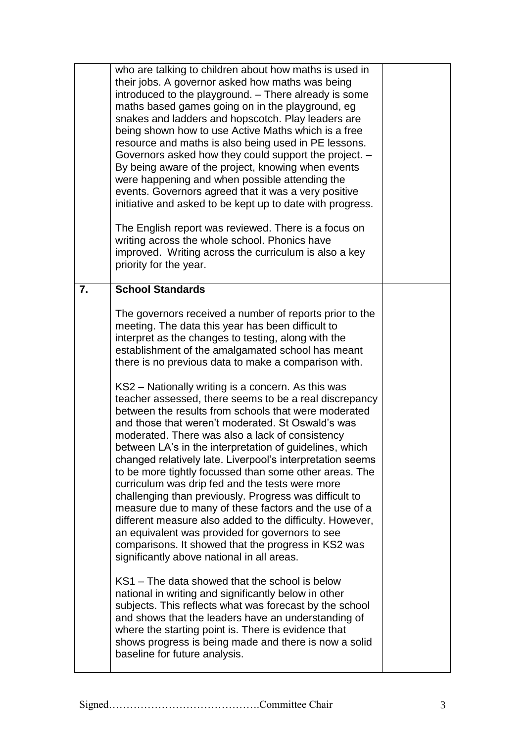|    | who are talking to children about how maths is used in<br>their jobs. A governor asked how maths was being<br>introduced to the playground. - There already is some<br>maths based games going on in the playground, eg<br>snakes and ladders and hopscotch. Play leaders are<br>being shown how to use Active Maths which is a free<br>resource and maths is also being used in PE lessons.<br>Governors asked how they could support the project. -<br>By being aware of the project, knowing when events<br>were happening and when possible attending the<br>events. Governors agreed that it was a very positive<br>initiative and asked to be kept up to date with progress.<br>The English report was reviewed. There is a focus on<br>writing across the whole school. Phonics have<br>improved. Writing across the curriculum is also a key<br>priority for the year. |  |
|----|--------------------------------------------------------------------------------------------------------------------------------------------------------------------------------------------------------------------------------------------------------------------------------------------------------------------------------------------------------------------------------------------------------------------------------------------------------------------------------------------------------------------------------------------------------------------------------------------------------------------------------------------------------------------------------------------------------------------------------------------------------------------------------------------------------------------------------------------------------------------------------|--|
| 7. | <b>School Standards</b>                                                                                                                                                                                                                                                                                                                                                                                                                                                                                                                                                                                                                                                                                                                                                                                                                                                        |  |
|    | The governors received a number of reports prior to the<br>meeting. The data this year has been difficult to<br>interpret as the changes to testing, along with the<br>establishment of the amalgamated school has meant<br>there is no previous data to make a comparison with.<br>KS2 – Nationally writing is a concern. As this was<br>teacher assessed, there seems to be a real discrepancy<br>between the results from schools that were moderated<br>and those that weren't moderated. St Oswald's was                                                                                                                                                                                                                                                                                                                                                                  |  |
|    | moderated. There was also a lack of consistency<br>between LA's in the interpretation of guidelines, which<br>changed relatively late. Liverpool's interpretation seems<br>to be more tightly focussed than some other areas. The<br>curriculum was drip fed and the tests were more<br>challenging than previously. Progress was difficult to<br>measure due to many of these factors and the use of a<br>different measure also added to the difficulty. However,<br>an equivalent was provided for governors to see<br>comparisons. It showed that the progress in KS2 was<br>significantly above national in all areas.                                                                                                                                                                                                                                                    |  |
|    | KS1 – The data showed that the school is below<br>national in writing and significantly below in other<br>subjects. This reflects what was forecast by the school<br>and shows that the leaders have an understanding of<br>where the starting point is. There is evidence that<br>shows progress is being made and there is now a solid<br>baseline for future analysis.                                                                                                                                                                                                                                                                                                                                                                                                                                                                                                      |  |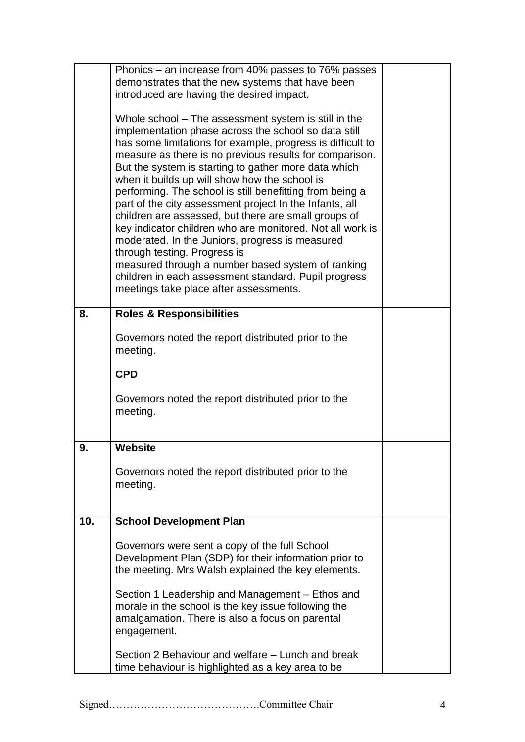|     | Phonics – an increase from 40% passes to 76% passes<br>demonstrates that the new systems that have been<br>introduced are having the desired impact.<br>Whole school – The assessment system is still in the<br>implementation phase across the school so data still<br>has some limitations for example, progress is difficult to<br>measure as there is no previous results for comparison.<br>But the system is starting to gather more data which<br>when it builds up will show how the school is<br>performing. The school is still benefitting from being a<br>part of the city assessment project In the Infants, all<br>children are assessed, but there are small groups of<br>key indicator children who are monitored. Not all work is<br>moderated. In the Juniors, progress is measured<br>through testing. Progress is<br>measured through a number based system of ranking<br>children in each assessment standard. Pupil progress<br>meetings take place after assessments. |  |
|-----|----------------------------------------------------------------------------------------------------------------------------------------------------------------------------------------------------------------------------------------------------------------------------------------------------------------------------------------------------------------------------------------------------------------------------------------------------------------------------------------------------------------------------------------------------------------------------------------------------------------------------------------------------------------------------------------------------------------------------------------------------------------------------------------------------------------------------------------------------------------------------------------------------------------------------------------------------------------------------------------------|--|
| 8.  | <b>Roles &amp; Responsibilities</b>                                                                                                                                                                                                                                                                                                                                                                                                                                                                                                                                                                                                                                                                                                                                                                                                                                                                                                                                                          |  |
|     | Governors noted the report distributed prior to the<br>meeting.                                                                                                                                                                                                                                                                                                                                                                                                                                                                                                                                                                                                                                                                                                                                                                                                                                                                                                                              |  |
|     | <b>CPD</b>                                                                                                                                                                                                                                                                                                                                                                                                                                                                                                                                                                                                                                                                                                                                                                                                                                                                                                                                                                                   |  |
|     | Governors noted the report distributed prior to the<br>meeting.                                                                                                                                                                                                                                                                                                                                                                                                                                                                                                                                                                                                                                                                                                                                                                                                                                                                                                                              |  |
| 9.  | <b>Website</b>                                                                                                                                                                                                                                                                                                                                                                                                                                                                                                                                                                                                                                                                                                                                                                                                                                                                                                                                                                               |  |
|     | Governors noted the report distributed prior to the<br>meeting.                                                                                                                                                                                                                                                                                                                                                                                                                                                                                                                                                                                                                                                                                                                                                                                                                                                                                                                              |  |
| 10. | <b>School Development Plan</b>                                                                                                                                                                                                                                                                                                                                                                                                                                                                                                                                                                                                                                                                                                                                                                                                                                                                                                                                                               |  |
|     | Governors were sent a copy of the full School<br>Development Plan (SDP) for their information prior to<br>the meeting. Mrs Walsh explained the key elements.                                                                                                                                                                                                                                                                                                                                                                                                                                                                                                                                                                                                                                                                                                                                                                                                                                 |  |
|     | Section 1 Leadership and Management – Ethos and<br>morale in the school is the key issue following the<br>amalgamation. There is also a focus on parental<br>engagement.                                                                                                                                                                                                                                                                                                                                                                                                                                                                                                                                                                                                                                                                                                                                                                                                                     |  |
|     | Section 2 Behaviour and welfare – Lunch and break<br>time behaviour is highlighted as a key area to be                                                                                                                                                                                                                                                                                                                                                                                                                                                                                                                                                                                                                                                                                                                                                                                                                                                                                       |  |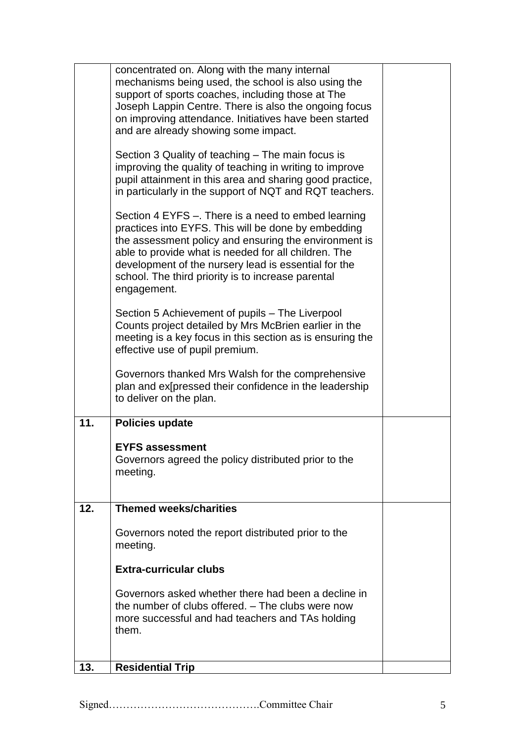|     | concentrated on. Along with the many internal<br>mechanisms being used, the school is also using the<br>support of sports coaches, including those at The<br>Joseph Lappin Centre. There is also the ongoing focus<br>on improving attendance. Initiatives have been started<br>and are already showing some impact.                                     |  |
|-----|----------------------------------------------------------------------------------------------------------------------------------------------------------------------------------------------------------------------------------------------------------------------------------------------------------------------------------------------------------|--|
|     | Section 3 Quality of teaching – The main focus is<br>improving the quality of teaching in writing to improve<br>pupil attainment in this area and sharing good practice,<br>in particularly in the support of NQT and RQT teachers.                                                                                                                      |  |
|     | Section 4 EYFS –. There is a need to embed learning<br>practices into EYFS. This will be done by embedding<br>the assessment policy and ensuring the environment is<br>able to provide what is needed for all children. The<br>development of the nursery lead is essential for the<br>school. The third priority is to increase parental<br>engagement. |  |
|     | Section 5 Achievement of pupils – The Liverpool<br>Counts project detailed by Mrs McBrien earlier in the<br>meeting is a key focus in this section as is ensuring the<br>effective use of pupil premium.                                                                                                                                                 |  |
|     | Governors thanked Mrs Walsh for the comprehensive<br>plan and expressed their confidence in the leadership<br>to deliver on the plan.                                                                                                                                                                                                                    |  |
| 11. | <b>Policies update</b>                                                                                                                                                                                                                                                                                                                                   |  |
|     | <b>EYFS assessment</b><br>Governors agreed the policy distributed prior to the<br>meeting.                                                                                                                                                                                                                                                               |  |
| 12. | <b>Themed weeks/charities</b>                                                                                                                                                                                                                                                                                                                            |  |
|     | Governors noted the report distributed prior to the<br>meeting.                                                                                                                                                                                                                                                                                          |  |
|     | <b>Extra-curricular clubs</b>                                                                                                                                                                                                                                                                                                                            |  |
|     | Governors asked whether there had been a decline in<br>the number of clubs offered. - The clubs were now<br>more successful and had teachers and TAs holding<br>them.                                                                                                                                                                                    |  |
| 13. | <b>Residential Trip</b>                                                                                                                                                                                                                                                                                                                                  |  |